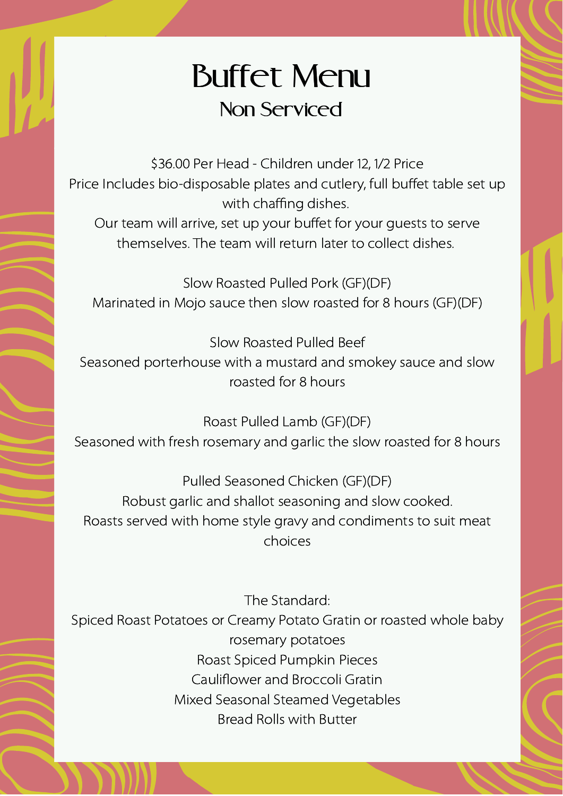## Buffet Menu Non Serviced

\$36.00 Per Head - Children under 12, 1/2 Price Price Includes bio-disposable plates and cutlery, full buffet table set up with chaffing dishes.

Our team will arrive, set up your buffet for your guests to serve themselves. The team will return later to collect dishes.

Slow Roasted Pulled Pork (GF)(DF) Marinated in Mojo sauce then slow roasted for 8 hours (GF)(DF)

Slow Roasted Pulled Beef Seasoned porterhouse with a mustard and smokey sauce and slow roasted for 8 hours

Roast Pulled Lamb (GF)(DF) Seasoned with fresh rosemary and garlic the slow roasted for 8 hours

Pulled Seasoned Chicken (GF)(DF) Robust garlic and shallot seasoning and slow cooked. Roasts served with home style gravy and condiments to suit meat choices

The Standard:

Spiced Roast Potatoes or Creamy Potato Gratin or roasted whole baby rosemary potatoes Roast Spiced Pumpkin Pieces Cauliflower and Broccoli Gratin Mixed Seasonal Steamed Vegetables Bread Rolls with Butter